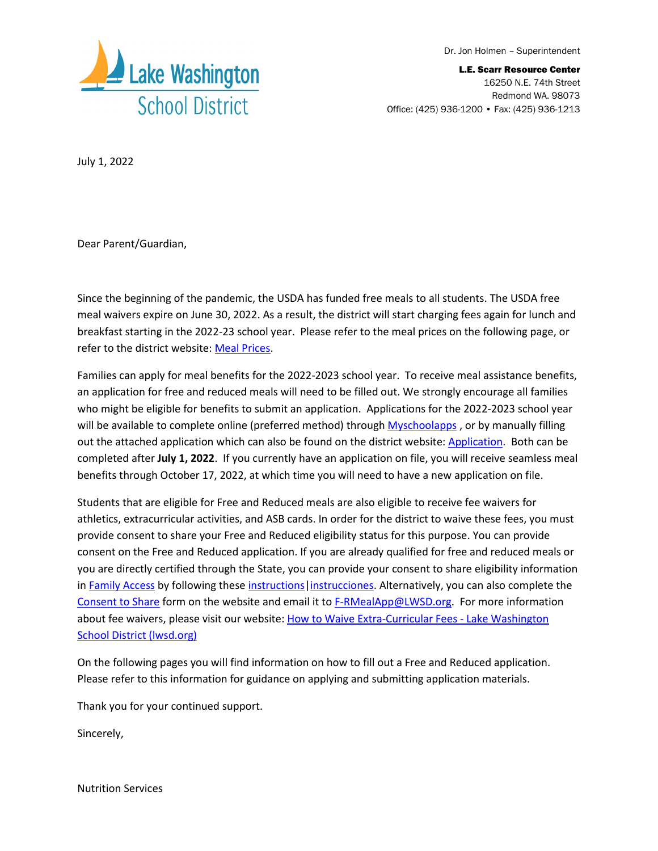

Dr. Jon Holmen – Superintendent

L.E. Scarr Resource Center 16250 N.E. 74th Street Redmond WA. 98073 Office: (425) 936-1200 • Fax: (425) 936-1213

July 1, 2022

Dear Parent/Guardian,

 Since the beginning of the pandemic, the USDA has funded free meals to all students. The USDA free meal waivers expire on June 30, 2022. As a result, the district will start charging fees again for lunch and breakfast starting in the 2022-23 school year. Please refer to the meal prices on the following page, or refer to the district website: [Meal Prices.](https://www.lwsd.org/students-families/breakfast-and-lunch-menus#fs-panel-3589)

 Families can apply for meal benefits for the 2022-2023 school year. To receive meal assistance benefits, an application for free and reduced meals will need to be filled out. We strongly encourage all families who might be eligible for benefits to submit an application. Applications for the 2022-2023 school year will be available to complete online (preferred method) through Myschoolapps, or by manually filling out the attached application which can also be found on the district website: **Application**. Both can be completed after **July 1, 2022**. If you currently have an application on file, you will receive seamless meal benefits through October 17, 2022, at which time you will need to have a new application on file.

 Students that are eligible for Free and Reduced meals are also eligible to receive fee waivers for athletics, extracurricular activities, and ASB cards. In order for the district to waive these fees, you must provide consent to share your Free and Reduced eligibility status for this purpose. You can provide consent on the Free and Reduced application. If you are already qualified for free and reduced meals or [Consent to Share](https://resources.finalsite.net/images/v1655158332/lwsdorg/wukduzfe9kfix7iqpbua/ConsentToShareEligibility-paperform22-23.pdf) form on the website and email it t[o F-RMealApp@LWSD.org.](mailto:F-RMealApp@LWSD.org) For more information about fee waivers, please visit our website: [How to Waive Extra-Curricular Fees -](https://www.lwsd.org/students-families/how-to-waive-extra-curricular-fees) Lake Washington you are directly certified through the State, you can provide your consent to share eligibility information in [Family Access](https://www2.saas.wa-k12.net/scripts/cgiip.exe/WService=wlkwashs71/fwemnu01.w) by following these [instructions](https://www.lwsd.org/fs/resource-manager/view/362fdd61-b40e-4e7b-92dd-2efc45b79f4c) | instrucciones. Alternatively, you can also complete the [School District \(lwsd.org\)](https://www.lwsd.org/students-families/how-to-waive-extra-curricular-fees) 

Please refer to this information for guidance on applying and submitting application materials.<br>Thank you for your continued support. On the following pages you will find information on how to fill out a Free and Reduced application.

Sincerely,

Nutrition Services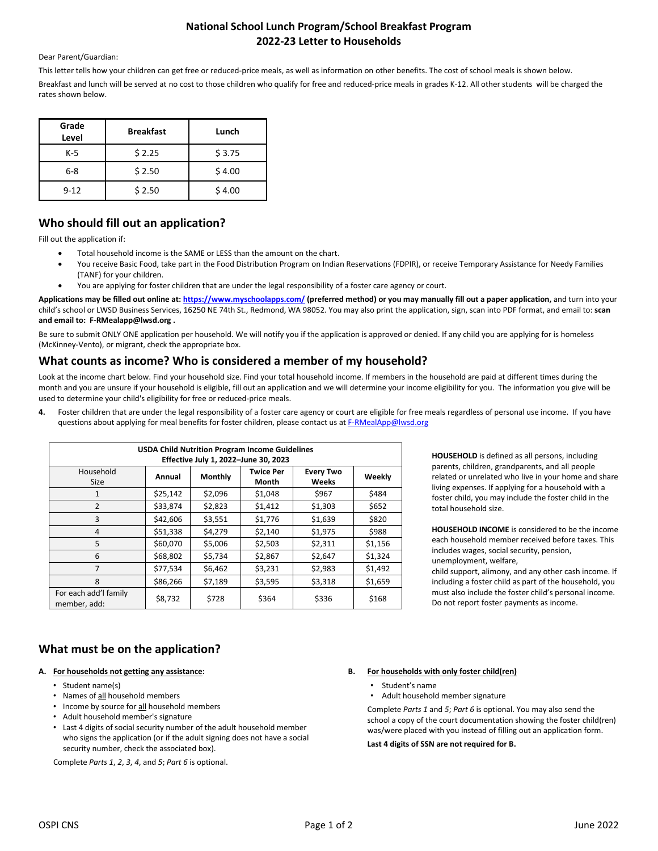#### **National School Lunch Program/School Breakfast Program 2022-23 Letter to Households**

#### Dear Parent/Guardian:

This letter tells how your children can get free or reduced-price meals, as well as information on other benefits. The cost of school meals is shown below.

 Breakfast and lunch will be served at no cost to those children who qualify for free and reduced-price meals in grades K-12. All other students will be charged the rates shown below.

| Grade<br>Level | <b>Breakfast</b> | Lunch  |  |
|----------------|------------------|--------|--|
| K-5            | \$2.25           | \$3.75 |  |
| $6 - 8$        | \$2.50           | \$4.00 |  |
| $9 - 12$       | \$2.50           | \$4.00 |  |

#### **Who should fill out an application?**

Fill out the application if:

- Total household income is the SAME or LESS than the amount on the chart.
- (TANF) for your children. • You receive Basic Food, take part in the Food Distribution Program on Indian Reservations (FDPIR), or receive Temporary Assistance for Needy Families
- You are applying for foster children that are under the legal responsibility of a foster care agency or court.

 **Applications may be filled out online at[: https://www.myschoolapps.com/ \(](https://www.myschoolapps.com/)preferred method) or you may manually fill out a paper application,** and turn into your  **and email to: [F-RMealapp@lwsd.org](mailto:F-RMealapp@lwsd.org) .** child's school or LWSD Business Services, 16250 NE 74th St., Redmond, WA 98052. You may also print the application, sign, scan into PDF format, and email to: **scan** 

 (McKinney-Vento), or migrant, check the appropriate box. Be sure to submit ONLY ONE application per household. We will notify you if the application is approved or denied. If any child you are applying for is homeless

### **What counts as income? Who is considered a member of my household?**

 Look at the income chart below. Find your household size. Find your total household income. If members in the household are paid at different times during the month and you are unsure if your household is eligible, fill out an application and we will determine your income eligibility for you. The information you give will be used to determine your child's eligibility for free or reduced-price meals.

 **4.** Foster children that are under the legal responsibility of a foster care agency or court are eligible for free meals regardless of personal use income. If you have questions about applying for meal benefits for foster children, please contact us at F-RMealApp@lwsd.org

| <b>USDA Child Nutrition Program Income Guidelines</b><br>Effective July 1, 2022-June 30, 2023 |          |                |                           |                           |         |  |
|-----------------------------------------------------------------------------------------------|----------|----------------|---------------------------|---------------------------|---------|--|
| Household<br>Size                                                                             | Annual   | <b>Monthly</b> | <b>Twice Per</b><br>Month | <b>Every Two</b><br>Weeks | Weekly  |  |
| 1                                                                                             | \$25,142 | \$2,096        | \$1,048                   | \$967                     | \$484   |  |
| $\overline{2}$                                                                                | \$33,874 | \$2,823        | \$1,412                   | \$1,303                   | \$652   |  |
| 3                                                                                             | \$42,606 | \$3,551        | \$1,776                   | \$1,639                   | \$820   |  |
| $\overline{4}$                                                                                | \$51,338 | \$4,279        | \$2,140                   | \$1,975                   | \$988   |  |
| 5                                                                                             | \$60,070 | \$5,006        | \$2,503                   | \$2,311                   | \$1,156 |  |
| 6                                                                                             | \$68,802 | \$5,734        | \$2,867                   | \$2,647                   | \$1,324 |  |
| $\overline{7}$                                                                                | \$77,534 | \$6,462        | \$3,231                   | \$2,983                   | \$1,492 |  |
| 8                                                                                             | \$86,266 | \$7,189        | \$3,595                   | \$3,318                   | \$1,659 |  |
| For each add'l family<br>member, add:                                                         | \$8,732  | \$728          | \$364                     | \$336                     | \$168   |  |

 related or unrelated who live in your home and share foster child, you may include the foster child in the **HOUSEHOLD** is defined as all persons, including parents, children, grandparents, and all people living expenses. If applying for a household with a total household size.

**HOUSEHOLD INCOME** is considered to be the income each household member received before taxes. This includes wages, social security, pension, unemployment, welfare,

 including a foster child as part of the household, you child support, alimony, and any other cash income. If must also include the foster child's personal income. Do not report foster payments as income.

# **What must be on the application?**<br>
A. For households not getting any assistance: B. For households with only foster child(ren)

- Student name(s) Student's name
- 
- 
- 
- who signs the application (or if the adult signing does not have a social • Income by source for <u>all</u> household members<br>
• Adult household member's signature<br>
• Last 4 digits of social security number of the adult household member<br>
• Last 4 digits of social security number of the adult signing

 Complete *Parts 1*, *2*, *3*, *4*, and *5*; *Part 6* is optional.

- 
- Names of all household members Adult household member signature

Complete Parts 1 and 5; Part 6 is optional. You may also send the school a copy of the court documentation showing the foster child(ren) was/were placed with you instead of filling out an application form.